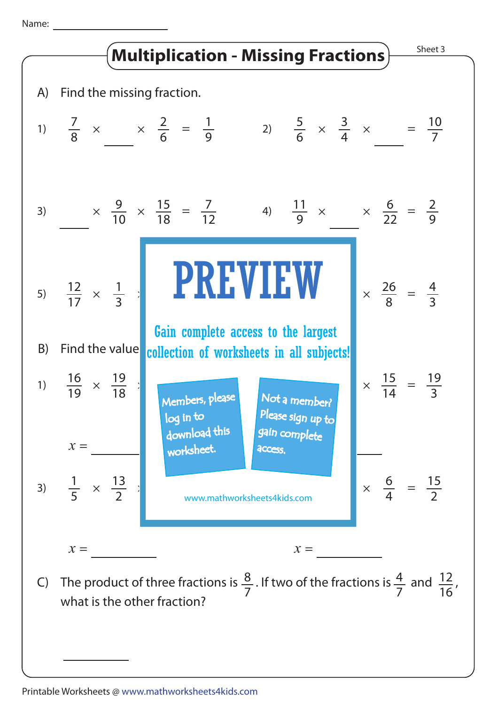